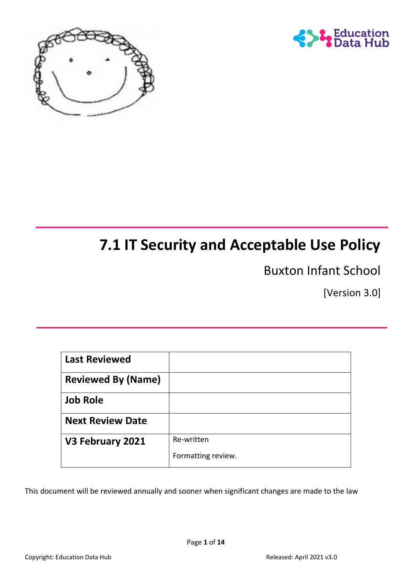



# **7.1 IT Security and Acceptable Use Policy**

Buxton Infant School

[Version 3.0]

| <b>Last Reviewed</b>      |                    |
|---------------------------|--------------------|
| <b>Reviewed By (Name)</b> |                    |
| <b>Job Role</b>           |                    |
| <b>Next Review Date</b>   |                    |
| V3 February 2021          | Re-written         |
|                           | Formatting review. |

This document will be reviewed annually and sooner when significant changes are made to the law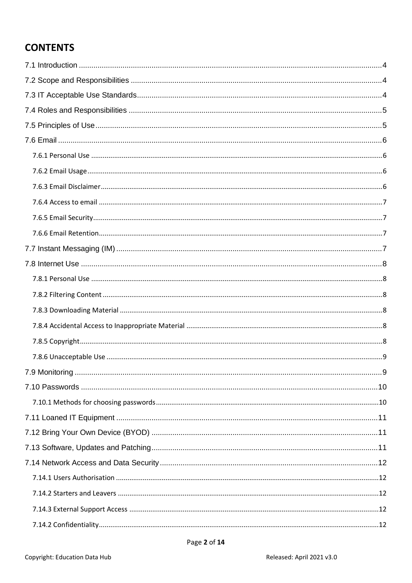# **CONTENTS**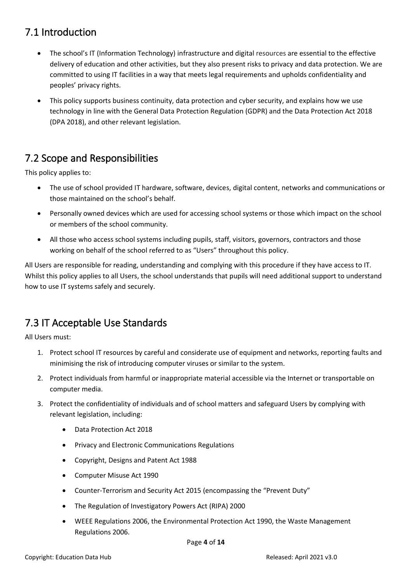### <span id="page-3-0"></span>7.1 Introduction

- The school's IT (Information Technology) infrastructure and digital resources are essential to the effective delivery of education and other activities, but they also present risks to privacy and data protection. We are committed to using IT facilities in a way that meets legal requirements and upholds confidentiality and peoples' privacy rights.
- This policy supports business continuity, data protection and cyber security, and explains how we use technology in line with the General Data Protection Regulation (GDPR) and the Data Protection Act 2018 (DPA 2018), and other relevant legislation.

# <span id="page-3-1"></span>7.2 Scope and Responsibilities

This policy applies to:

- The use of school provided IT hardware, software, devices, digital content, networks and communications or those maintained on the school's behalf.
- Personally owned devices which are used for accessing school systems or those which impact on the school or members of the school community.
- All those who access school systems including pupils, staff, visitors, governors, contractors and those working on behalf of the school referred to as "Users" throughout this policy.

All Users are responsible for reading, understanding and complying with this procedure if they have access to IT. Whilst this policy applies to all Users, the school understands that pupils will need additional support to understand how to use IT systems safely and securely.

### <span id="page-3-2"></span>7.3 IT Acceptable Use Standards

All Users must:

- 1. Protect school IT resources by careful and considerate use of equipment and networks, reporting faults and minimising the risk of introducing computer viruses or similar to the system.
- 2. Protect individuals from harmful or inappropriate material accessible via the Internet or transportable on computer media.
- 3. Protect the confidentiality of individuals and of school matters and safeguard Users by complying with relevant legislation, including:
	- Data Protection Act 2018
	- Privacy and Electronic Communications Regulations
	- Copyright, Designs and Patent Act 1988
	- Computer Misuse Act 1990
	- Counter-Terrorism and Security Act 2015 (encompassing the "Prevent Duty"
	- The Regulation of Investigatory Powers Act (RIPA) 2000
	- WEEE Regulations 2006, the Environmental Protection Act 1990, the Waste Management Regulations 2006.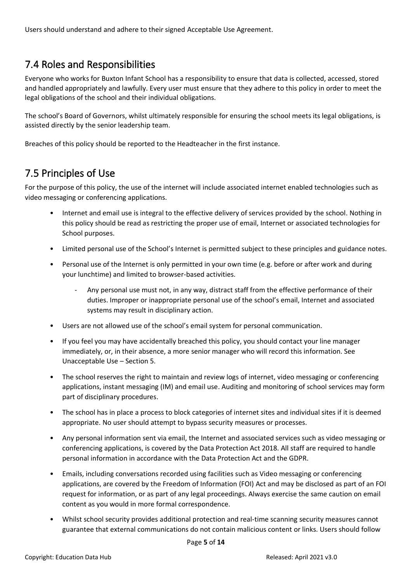Users should understand and adhere to their signed Acceptable Use Agreement.

### <span id="page-4-0"></span>7.4 Roles and Responsibilities

Everyone who works for Buxton Infant School has a responsibility to ensure that data is collected, accessed, stored and handled appropriately and lawfully. Every user must ensure that they adhere to this policy in order to meet the legal obligations of the school and their individual obligations.

The school's Board of Governors, whilst ultimately responsible for ensuring the school meets its legal obligations, is assisted directly by the senior leadership team.

Breaches of this policy should be reported to the Headteacher in the first instance.

### <span id="page-4-1"></span>7.5 Principles of Use

For the purpose of this policy, the use of the internet will include associated internet enabled technologies such as video messaging or conferencing applications.

- Internet and email use is integral to the effective delivery of services provided by the school. Nothing in this policy should be read as restricting the proper use of email, Internet or associated technologies for School purposes.
- Limited personal use of the School's Internet is permitted subject to these principles and guidance notes.
- Personal use of the Internet is only permitted in your own time (e.g. before or after work and during your lunchtime) and limited to browser-based activities.
	- Any personal use must not, in any way, distract staff from the effective performance of their duties. Improper or inappropriate personal use of the school's email, Internet and associated systems may result in disciplinary action.
- Users are not allowed use of the school's email system for personal communication.
- If you feel you may have accidentally breached this policy, you should contact your line manager immediately, or, in their absence, a more senior manager who will record this information. See Unacceptable Use – Section 5.
- The school reserves the right to maintain and review logs of internet, video messaging or conferencing applications, instant messaging (IM) and email use. Auditing and monitoring of school services may form part of disciplinary procedures.
- The school has in place a process to block categories of internet sites and individual sites if it is deemed appropriate. No user should attempt to bypass security measures or processes.
- Any personal information sent via email, the Internet and associated services such as video messaging or conferencing applications, is covered by the Data Protection Act 2018. All staff are required to handle personal information in accordance with the Data Protection Act and the GDPR.
- Emails, including conversations recorded using facilities such as Video messaging or conferencing applications, are covered by the Freedom of Information (FOI) Act and may be disclosed as part of an FOI request for information, or as part of any legal proceedings. Always exercise the same caution on email content as you would in more formal correspondence.
- Whilst school security provides additional protection and real-time scanning security measures cannot guarantee that external communications do not contain malicious content or links. Users should follow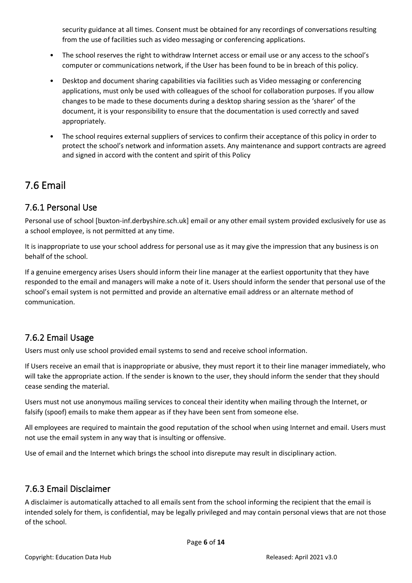security guidance at all times. Consent must be obtained for any recordings of conversations resulting from the use of facilities such as video messaging or conferencing applications.

- The school reserves the right to withdraw Internet access or email use or any access to the school's computer or communications network, if the User has been found to be in breach of this policy.
- Desktop and document sharing capabilities via facilities such as Video messaging or conferencing applications, must only be used with colleagues of the school for collaboration purposes. If you allow changes to be made to these documents during a desktop sharing session as the 'sharer' of the document, it is your responsibility to ensure that the documentation is used correctly and saved appropriately.
- The school requires external suppliers of services to confirm their acceptance of this policy in order to protect the school's network and information assets. Any maintenance and support contracts are agreed and signed in accord with the content and spirit of this Policy

### <span id="page-5-0"></span>7.6 Email

#### <span id="page-5-1"></span>7.6.1 Personal Use

Personal use of school [buxton-inf.derbyshire.sch.uk] email or any other email system provided exclusively for use as a school employee, is not permitted at any time.

It is inappropriate to use your school address for personal use as it may give the impression that any business is on behalf of the school.

If a genuine emergency arises Users should inform their line manager at the earliest opportunity that they have responded to the email and managers will make a note of it. Users should inform the sender that personal use of the school's email system is not permitted and provide an alternative email address or an alternate method of communication.

#### <span id="page-5-2"></span>7.6.2 Email Usage

Users must only use school provided email systems to send and receive school information.

If Users receive an email that is inappropriate or abusive, they must report it to their line manager immediately, who will take the appropriate action. If the sender is known to the user, they should inform the sender that they should cease sending the material.

Users must not use anonymous mailing services to conceal their identity when mailing through the Internet, or falsify (spoof) emails to make them appear as if they have been sent from someone else.

All employees are required to maintain the good reputation of the school when using Internet and email. Users must not use the email system in any way that is insulting or offensive.

Use of email and the Internet which brings the school into disrepute may result in disciplinary action.

#### <span id="page-5-3"></span>7.6.3 Email Disclaimer

A disclaimer is automatically attached to all emails sent from the school informing the recipient that the email is intended solely for them, is confidential, may be legally privileged and may contain personal views that are not those of the school.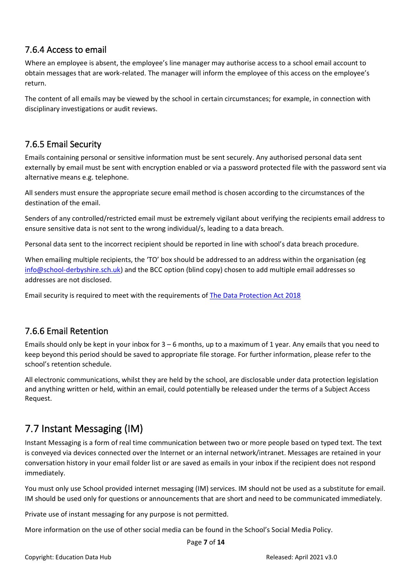#### <span id="page-6-0"></span>7.6.4 Access to email

Where an employee is absent, the employee's line manager may authorise access to a school email account to obtain messages that are work-related. The manager will inform the employee of this access on the employee's return.

The content of all emails may be viewed by the school in certain circumstances; for example, in connection with disciplinary investigations or audit reviews.

#### <span id="page-6-1"></span>7.6.5 Email Security

Emails containing personal or sensitive information must be sent securely. Any authorised personal data sent externally by email must be sent with encryption enabled or via a password protected file with the password sent via alternative means e.g. telephone.

All senders must ensure the appropriate secure email method is chosen according to the circumstances of the destination of the email.

Senders of any controlled/restricted email must be extremely vigilant about verifying the recipients email address to ensure sensitive data is not sent to the wrong individual/s, leading to a data breach.

Personal data sent to the incorrect recipient should be reported in line with school's data breach procedure.

When emailing multiple recipients, the 'TO' box should be addressed to an address within the organisation (eg [info@school-derbyshire.sch.uk\)](mailto:info@school-derbyshire.sch.uk) and the BCC option (blind copy) chosen to add multiple email addresses so addresses are not disclosed.

Email security is required to meet with the requirements of [The Data Protection Act 2018](https://www.legislation.gov.uk/ukpga/2018/12/contents/enacted)

#### <span id="page-6-2"></span>7.6.6 Email Retention

Emails should only be kept in your inbox for 3 – 6 months, up to a maximum of 1 year. Any emails that you need to keep beyond this period should be saved to appropriate file storage. For further information, please refer to the school's retention schedule.

All electronic communications, whilst they are held by the school, are disclosable under data protection legislation and anything written or held, within an email, could potentially be released under the terms of a Subject Access Request.

# <span id="page-6-3"></span>7.7 Instant Messaging (IM)

Instant Messaging is a form of real time communication between two or more people based on typed text. The text is conveyed via devices connected over the Internet or an internal network/intranet. Messages are retained in your conversation history in your email folder list or are saved as emails in your inbox if the recipient does not respond immediately.

You must only use School provided internet messaging (IM) services. IM should not be used as a substitute for email. IM should be used only for questions or announcements that are short and need to be communicated immediately.

Private use of instant messaging for any purpose is not permitted.

More information on the use of other social media can be found in the School's Social Media Policy.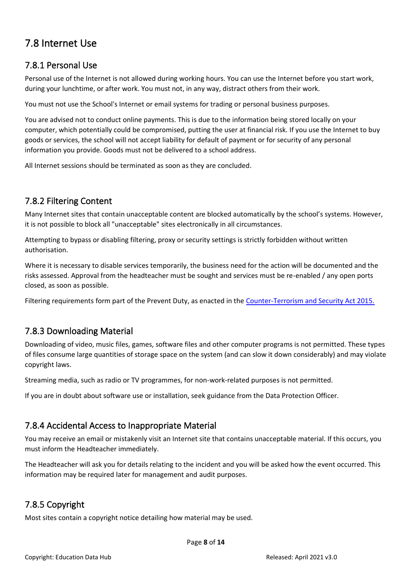### <span id="page-7-0"></span>7.8 Internet Use

#### <span id="page-7-1"></span>7.8.1 Personal Use

Personal use of the Internet is not allowed during working hours. You can use the Internet before you start work, during your lunchtime, or after work. You must not, in any way, distract others from their work.

You must not use the School's Internet or email systems for trading or personal business purposes.

You are advised not to conduct online payments. This is due to the information being stored locally on your computer, which potentially could be compromised, putting the user at financial risk. If you use the Internet to buy goods or services, the school will not accept liability for default of payment or for security of any personal information you provide. Goods must not be delivered to a school address.

All Internet sessions should be terminated as soon as they are concluded.

#### <span id="page-7-2"></span>7.8.2 Filtering Content

Many Internet sites that contain unacceptable content are blocked automatically by the school's systems. However, it is not possible to block all "unacceptable" sites electronically in all circumstances.

Attempting to bypass or disabling filtering, proxy or security settings is strictly forbidden without written authorisation.

Where it is necessary to disable services temporarily, the business need for the action will be documented and the risks assessed. Approval from the headteacher must be sought and services must be re-enabled / any open ports closed, as soon as possible.

Filtering requirements form part of the Prevent Duty, as enacted in the [Counter-Terrorism and Security Act 2015.](https://www.legislation.gov.uk/ukpga/2015/6/contents/enacted)

#### <span id="page-7-3"></span>7.8.3 Downloading Material

Downloading of video, music files, games, software files and other computer programs is not permitted. These types of files consume large quantities of storage space on the system (and can slow it down considerably) and may violate copyright laws.

Streaming media, such as radio or TV programmes, for non-work-related purposes is not permitted.

If you are in doubt about software use or installation, seek guidance from the Data Protection Officer.

#### <span id="page-7-4"></span>7.8.4 Accidental Access to Inappropriate Material

You may receive an email or mistakenly visit an Internet site that contains unacceptable material. If this occurs, you must inform the Headteacher immediately.

The Headteacher will ask you for details relating to the incident and you will be asked how the event occurred. This information may be required later for management and audit purposes.

#### <span id="page-7-5"></span>7.8.5 Copyright

Most sites contain a copyright notice detailing how material may be used.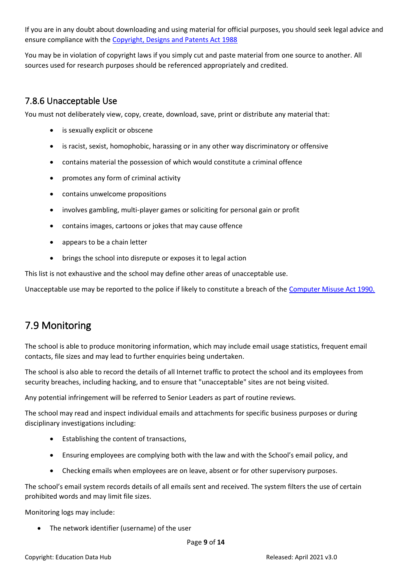If you are in any doubt about downloading and using material for official purposes, you should seek legal advice and ensure compliance with the [Copyright, Designs and Patents Act 1988](https://www.legislation.gov.uk/ukpga/1988/48/contents)

You may be in violation of copyright laws if you simply cut and paste material from one source to another. All sources used for research purposes should be referenced appropriately and credited.

#### <span id="page-8-0"></span>7.8.6 Unacceptable Use

You must not deliberately view, copy, create, download, save, print or distribute any material that:

- is sexually explicit or obscene
- is racist, sexist, homophobic, harassing or in any other way discriminatory or offensive
- contains material the possession of which would constitute a criminal offence
- promotes any form of criminal activity
- contains unwelcome propositions
- involves gambling, multi-player games or soliciting for personal gain or profit
- contains images, cartoons or jokes that may cause offence
- appears to be a chain letter
- brings the school into disrepute or exposes it to legal action

This list is not exhaustive and the school may define other areas of unacceptable use.

Unacceptable use may be reported to the police if likely to constitute a breach of the [Computer Misuse Act 1990.](https://www.legislation.gov.uk/ukpga/1990/18/contents)

# <span id="page-8-1"></span>7.9 Monitoring

The school is able to produce monitoring information, which may include email usage statistics, frequent email contacts, file sizes and may lead to further enquiries being undertaken.

The school is also able to record the details of all Internet traffic to protect the school and its employees from security breaches, including hacking, and to ensure that "unacceptable" sites are not being visited.

Any potential infringement will be referred to Senior Leaders as part of routine reviews.

The school may read and inspect individual emails and attachments for specific business purposes or during disciplinary investigations including:

- Establishing the content of transactions,
- Ensuring employees are complying both with the law and with the School's email policy, and
- Checking emails when employees are on leave, absent or for other supervisory purposes.

The school's email system records details of all emails sent and received. The system filters the use of certain prohibited words and may limit file sizes.

Monitoring logs may include:

• The network identifier (username) of the user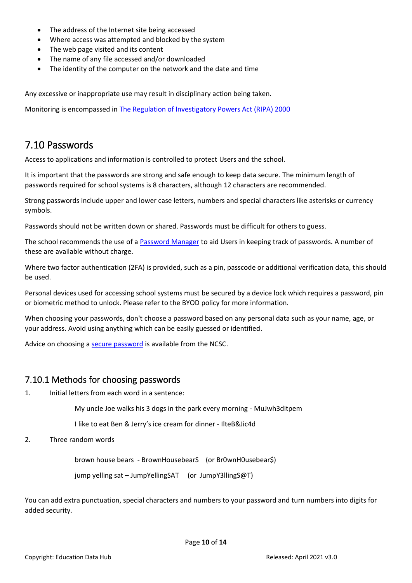- The address of the Internet site being accessed
- Where access was attempted and blocked by the system
- The web page visited and its content
- The name of any file accessed and/or downloaded
- The identity of the computer on the network and the date and time

Any excessive or inappropriate use may result in disciplinary action being taken.

Monitoring is encompassed in [The Regulation of Investigatory Powers Act \(RIPA\) 2000](https://www.legislation.gov.uk/ukpga/2000/23/contents)

#### <span id="page-9-0"></span>7.10 Passwords

Access to applications and information is controlled to protect Users and the school.

It is important that the passwords are strong and safe enough to keep data secure. The minimum length of passwords required for school systems is 8 characters, although 12 characters are recommended.

Strong passwords include upper and lower case letters, numbers and special characters like asterisks or currency symbols.

Passwords should not be written down or shared. Passwords must be difficult for others to guess.

The school recommends the use of a [Password Manager](https://www.ncsc.gov.uk/collection/passwords/password-manager-buyers-guide) to aid Users in keeping track of passwords. A number of these are available without charge.

Where two factor authentication (2FA) is provided, such as a pin, passcode or additional verification data, this should be used.

Personal devices used for accessing school systems must be secured by a device lock which requires a password, pin or biometric method to unlock. Please refer to the BYOD policy for more information.

When choosing your passwords, don't choose a password based on any personal data such as your name, age, or your address. Avoid using anything which can be easily guessed or identified.

Advice on choosing a [secure password](file:///C:/Users/agency4216/AppData/Local/Microsoft/Windows/INetCache/Content.Outlook/EDA9LZL0/Three%20random%20words%20or%23thinkrandom%20-%20NCSC.GOV.UK) is available from the NCSC.

#### <span id="page-9-1"></span>7.10.1 Methods for choosing passwords

1. Initial letters from each word in a sentence:

My uncle Joe walks his 3 dogs in the park every morning - MuJwh3ditpem

I like to eat Ben & Jerry's ice cream for dinner - IlteB&Jic4d

2. Three random words

brown house bears - BrownHousebearS (or Br0wnH0usebear\$)

jump yelling sat – JumpYellingSAT (or JumpY3llingS@T)

You can add extra punctuation, special characters and numbers to your password and turn numbers into digits for added security.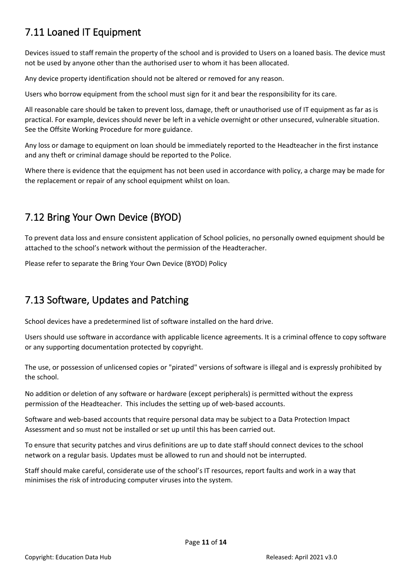# <span id="page-10-0"></span>7.11 Loaned IT Equipment

Devices issued to staff remain the property of the school and is provided to Users on a loaned basis. The device must not be used by anyone other than the authorised user to whom it has been allocated.

Any device property identification should not be altered or removed for any reason.

Users who borrow equipment from the school must sign for it and bear the responsibility for its care.

All reasonable care should be taken to prevent loss, damage, theft or unauthorised use of IT equipment as far as is practical. For example, devices should never be left in a vehicle overnight or other unsecured, vulnerable situation. See the Offsite Working Procedure for more guidance.

Any loss or damage to equipment on loan should be immediately reported to the Headteacher in the first instance and any theft or criminal damage should be reported to the Police.

Where there is evidence that the equipment has not been used in accordance with policy, a charge may be made for the replacement or repair of any school equipment whilst on loan.

### <span id="page-10-1"></span>7.12 Bring Your Own Device (BYOD)

To prevent data loss and ensure consistent application of School policies, no personally owned equipment should be attached to the school's network without the permission of the Headteracher.

Please refer to separate the Bring Your Own Device (BYOD) Policy

# <span id="page-10-2"></span>7.13 Software, Updates and Patching

School devices have a predetermined list of software installed on the hard drive.

Users should use software in accordance with applicable licence agreements. It is a criminal offence to copy software or any supporting documentation protected by copyright.

The use, or possession of unlicensed copies or "pirated" versions of software is illegal and is expressly prohibited by the school.

No addition or deletion of any software or hardware (except peripherals) is permitted without the express permission of the Headteacher. This includes the setting up of web-based accounts.

Software and web-based accounts that require personal data may be subject to a Data Protection Impact Assessment and so must not be installed or set up until this has been carried out.

To ensure that security patches and virus definitions are up to date staff should connect devices to the school network on a regular basis. Updates must be allowed to run and should not be interrupted.

Staff should make careful, considerate use of the school's IT resources, report faults and work in a way that minimises the risk of introducing computer viruses into the system.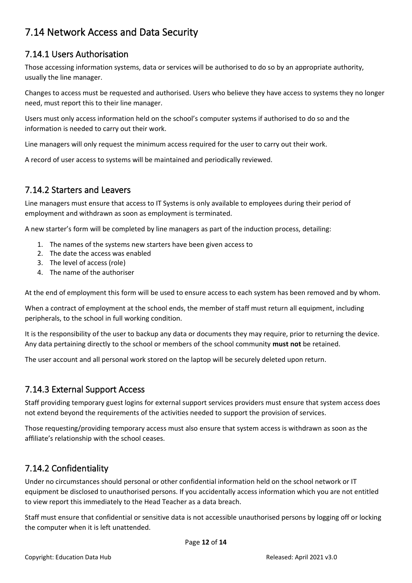### <span id="page-11-0"></span>7.14 Network Access and Data Security

#### <span id="page-11-1"></span>7.14.1 Users Authorisation

Those accessing information systems, data or services will be authorised to do so by an appropriate authority, usually the line manager.

Changes to access must be requested and authorised. Users who believe they have access to systems they no longer need, must report this to their line manager.

Users must only access information held on the school's computer systems if authorised to do so and the information is needed to carry out their work.

Line managers will only request the minimum access required for the user to carry out their work.

A record of user access to systems will be maintained and periodically reviewed.

#### <span id="page-11-2"></span>7.14.2 Starters and Leavers

Line managers must ensure that access to IT Systems is only available to employees during their period of employment and withdrawn as soon as employment is terminated.

A new starter's form will be completed by line managers as part of the induction process, detailing:

- 1. The names of the systems new starters have been given access to
- 2. The date the access was enabled
- 3. The level of access (role)
- 4. The name of the authoriser

At the end of employment this form will be used to ensure access to each system has been removed and by whom.

When a contract of employment at the school ends, the member of staff must return all equipment, including peripherals, to the school in full working condition.

It is the responsibility of the user to backup any data or documents they may require, prior to returning the device. Any data pertaining directly to the school or members of the school community **must not** be retained.

The user account and all personal work stored on the laptop will be securely deleted upon return.

#### <span id="page-11-3"></span>7.14.3 External Support Access

Staff providing temporary guest logins for external support services providers must ensure that system access does not extend beyond the requirements of the activities needed to support the provision of services.

Those requesting/providing temporary access must also ensure that system access is withdrawn as soon as the affiliate's relationship with the school ceases.

#### <span id="page-11-4"></span>7.14.2 Confidentiality

Under no circumstances should personal or other confidential information held on the school network or IT equipment be disclosed to unauthorised persons. If you accidentally access information which you are not entitled to view report this immediately to the Head Teacher as a data breach.

Staff must ensure that confidential or sensitive data is not accessible unauthorised persons by logging off or locking the computer when it is left unattended.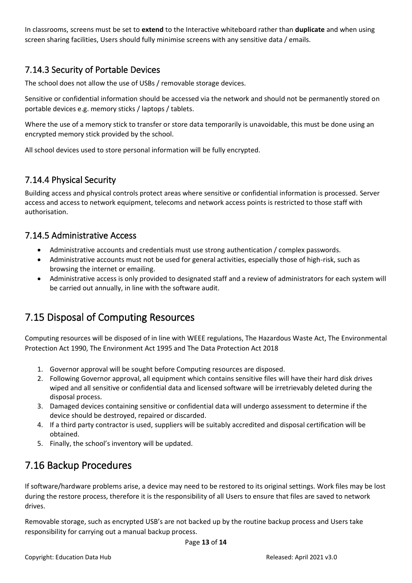In classrooms, screens must be set to **extend** to the Interactive whiteboard rather than **duplicate** and when using screen sharing facilities, Users should fully minimise screens with any sensitive data / emails.

#### <span id="page-12-0"></span>7.14.3 Security of Portable Devices

The school does not allow the use of USBs / removable storage devices.

Sensitive or confidential information should be accessed via the network and should not be permanently stored on portable devices e.g. memory sticks / laptops / tablets.

Where the use of a memory stick to transfer or store data temporarily is unavoidable, this must be done using an encrypted memory stick provided by the school.

All school devices used to store personal information will be fully encrypted.

#### <span id="page-12-1"></span>7.14.4 Physical Security

Building access and physical controls protect areas where sensitive or confidential information is processed. Server access and access to network equipment, telecoms and network access points is restricted to those staff with authorisation.

#### <span id="page-12-2"></span>7.14.5 Administrative Access

- Administrative accounts and credentials must use strong authentication / complex passwords.
- Administrative accounts must not be used for general activities, especially those of high-risk, such as browsing the internet or emailing.
- Administrative access is only provided to designated staff and a review of administrators for each system will be carried out annually, in line with the software audit.

# <span id="page-12-3"></span>7.15 Disposal of Computing Resources

Computing resources will be disposed of in line with WEEE regulations, The Hazardous Waste Act, The Environmental Protection Act 1990, The Environment Act 1995 and The Data Protection Act 2018

- 1. Governor approval will be sought before Computing resources are disposed.
- 2. Following Governor approval, all equipment which contains sensitive files will have their hard disk drives wiped and all sensitive or confidential data and licensed software will be irretrievably deleted during the disposal process.
- 3. Damaged devices containing sensitive or confidential data will undergo assessment to determine if the device should be destroyed, repaired or discarded.
- 4. If a third party contractor is used, suppliers will be suitably accredited and disposal certification will be obtained.
- 5. Finally, the school's inventory will be updated.

### <span id="page-12-4"></span>7.16 Backup Procedures

If software/hardware problems arise, a device may need to be restored to its original settings. Work files may be lost during the restore process, therefore it is the responsibility of all Users to ensure that files are saved to network drives.

Removable storage, such as encrypted USB's are not backed up by the routine backup process and Users take responsibility for carrying out a manual backup process.